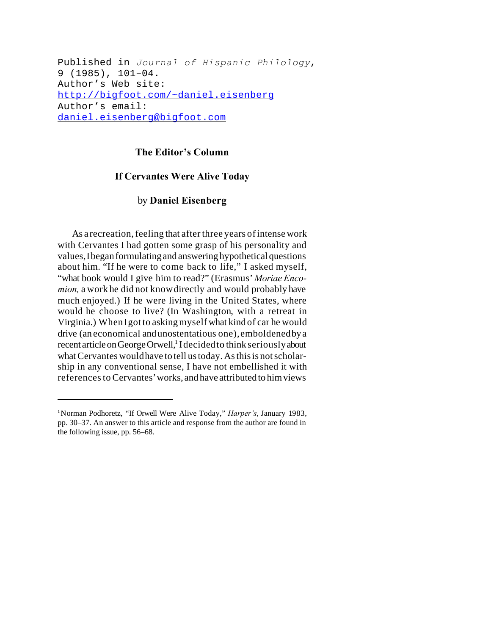Published in *Journal of Hispanic Philology*, 9 (1985), 101–04. Author's Web site: http://bigfoot.com/~daniel.eisenberg Author's email: daniel.eisenberg@bigfoot.com

## **The Editor's Column**

## **If Cervantes Were Alive Today**

## by **Daniel Eisenberg**

As a recreation, feeling that after three years of intense work with Cervantes I had gotten some grasp of his personality and values,Ibegan formulating and answering hypothetical questions about him. "If he were to come back to life," I asked myself, "what book would I give him to read?" (Erasmus' *Moriae Encomion,* a work he did not knowdirectly and would probably have much enjoyed.) If he were living in the United States, where would he choose to live? (In Washington, with a retreat in Virginia.) WhenIgot to askingmyself what kind of car he would drive (an economical andunostentatious one),emboldenedbya recent article on George Orwell,<sup>1</sup> I decided to think seriously about what Cervantes wouldhave to tell us today. As this is not scholarship in any conventional sense, I have not embellished it with referencesto Cervantes' works, and have attributed to him views

<sup>&</sup>lt;sup>1</sup>Norman Podhoretz, "If Orwell Were Alive Today," *Harper's*, January 1983, pp. 30–37. An answer to this article and response from the author are found in the following issue, pp. 56–68.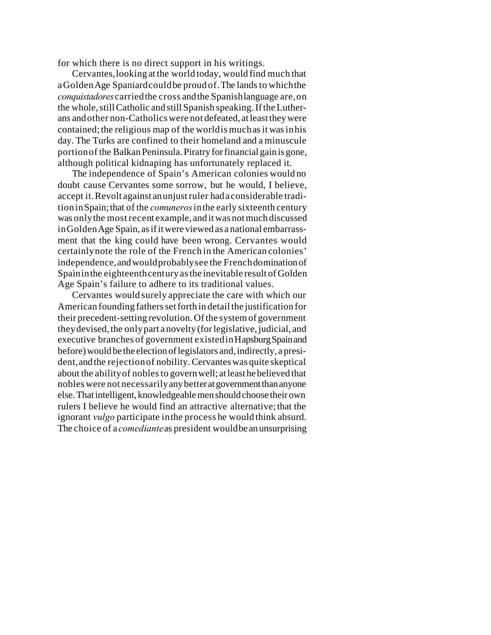for which there is no direct support in his writings.

Cervantes,looking at the world today, would find much that a Golden Age Spaniard could be proud of. The lands to which the *conquistadores*carriedthe cross andthe Spanishlanguage are,on the whole, still Catholic and still Spanish speaking. If the Lutherans andother non-Catholics were not defeated, at least they were contained; the religious map of the worldis muchasit wasinhis day. The Turks are confined to their homeland and a minuscule portionof the Balkan Peninsula. Piratry for financial gain is gone, although political kidnaping has unfortunately replaced it.

The independence of Spain's American colonies would no doubt cause Cervantes some sorrow, but he would, I believe, accept it.Revolt against anunjustruler hada considerable traditioninSpain;that of the *comuneros*inthe early sixteenth century was onlythe most recent example, and it was not much discussed inGoldenAge Spain, as if it were viewed as a national embarrassment that the king could have been wrong. Cervantes would certainlynote the role of the French in the American colonies' independence,andwouldprobablysee the Frenchdomination of Spain in the eighteenth century as the inevitable result of Golden Age Spain's failure to adhere to its traditional values.

Cervantes would surely appreciate the care with which our American founding fathers set forth in detail the justification for their precedent-setting revolution. Of the system of government theydevised, the onlypart a novelty (for legislative, judicial, and executive branches of government existedinHapsburg Spain and before) would be the election of legislators and, indirectly, a president,andthe rejectionof nobility.Cervantes was quite skeptical about the abilityof noblesto govern well; at least he believed that nobles were not necessarilyanybetter at government than anyone else. That intelligent, knowledgeable men should choose their own rulers I believe he would find an attractive alternative; that the ignorant *vulgo* participate inthe process he would think absurd. The choice of a *comediante*as president would be an unsurprising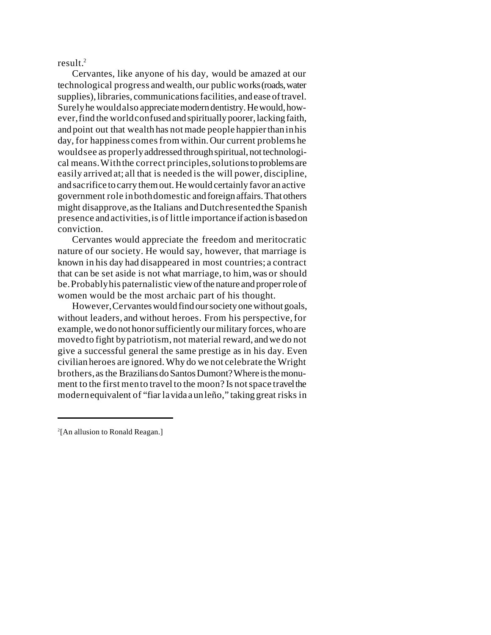result. $^{2}$ 

Cervantes, like anyone of his day, would be amazed at our technological progress andwealth, our public works (roads, water supplies), libraries, communications facilities, and ease of travel. Surelyhe wouldalso appreciate modern dentistry. He would, however,find the worldconfused and spiritually poorer, lacking faith, and point out that wealth has not made people happier than in his day, for happiness comes from within. Our current problems he wouldsee as properlyaddressed through spiritual, not technological means.Withthe correct principles,solutions to problems are easily arrived at; all that is needed is the will power, discipline, andsacrifice to carry them out. He would certainly favor an active government role inbothdomestic and foreign affairs. That others might disapprove,asthe Italians andDutchresentedthe Spanish presence andactivities,is of little importance if action is based on conviction.

Cervantes would appreciate the freedom and meritocratic nature of our society. He would say, however, that marriage is known in his day had disappeared in most countries; a contract that can be set aside is not what marriage, to him,was or should be.Probablyhis paternalistic view of the nature and proper role of women would be the most archaic part of his thought.

However,Cervantes would find our society one without goals, without leaders, and without heroes. From his perspective,for example, we do not honor sufficiently our military forces, who are movedto fight bypatriotism, not material reward, andwe do not give a successful general the same prestige as in his day. Even civilian heroes are ignored.Why do we not celebrate the Wright brothers,asthe Brazilians do Santos Dumont? Where is the monument to the first mento travel to the moon? Is notspace travel the modernequivalent of "fiar lavida aunleño," taking great risks in

<sup>2</sup> [An allusion to Ronald Reagan.]